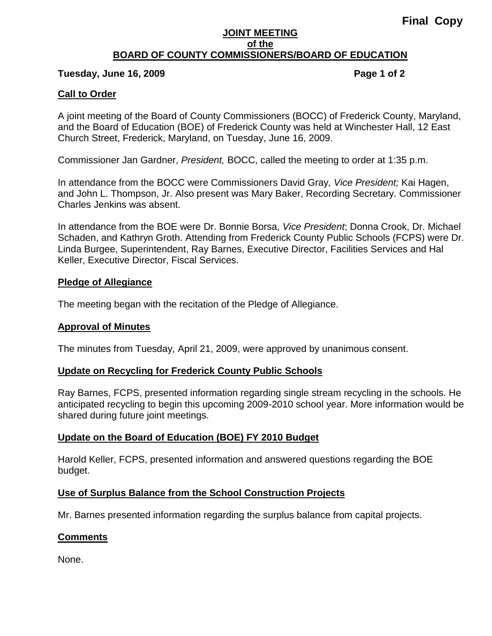#### **JOINT MEETING of the BOARD OF COUNTY COMMISSIONERS/BOARD OF EDUCATION**

### **Tuesday, June 16, 2009 Page 1 of 2**

### **Call to Order**

A joint meeting of the Board of County Commissioners (BOCC) of Frederick County, Maryland, and the Board of Education (BOE) of Frederick County was held at Winchester Hall, 12 East Church Street, Frederick, Maryland, on Tuesday, June 16, 2009.

Commissioner Jan Gardner, *President,* BOCC, called the meeting to order at 1:35 p.m.

In attendance from the BOCC were Commissioners David Gray*, Vice President;* Kai Hagen, and John L. Thompson, Jr. Also present was Mary Baker, Recording Secretary. Commissioner Charles Jenkins was absent.

In attendance from the BOE were Dr. Bonnie Borsa, *Vice President*; Donna Crook, Dr. Michael Schaden, and Kathryn Groth. Attending from Frederick County Public Schools (FCPS) were Dr. Linda Burgee, Superintendent, Ray Barnes, Executive Director, Facilities Services and Hal Keller, Executive Director, Fiscal Services.

#### **Pledge of Allegiance**

The meeting began with the recitation of the Pledge of Allegiance.

#### **Approval of Minutes**

The minutes from Tuesday, April 21, 2009, were approved by unanimous consent.

#### **Update on Recycling for Frederick County Public Schools**

Ray Barnes, FCPS, presented information regarding single stream recycling in the schools. He anticipated recycling to begin this upcoming 2009-2010 school year. More information would be shared during future joint meetings.

#### **Update on the Board of Education (BOE) FY 2010 Budget**

Harold Keller, FCPS, presented information and answered questions regarding the BOE budget.

## **Use of Surplus Balance from the School Construction Projects**

Mr. Barnes presented information regarding the surplus balance from capital projects.

## **Comments**

None.